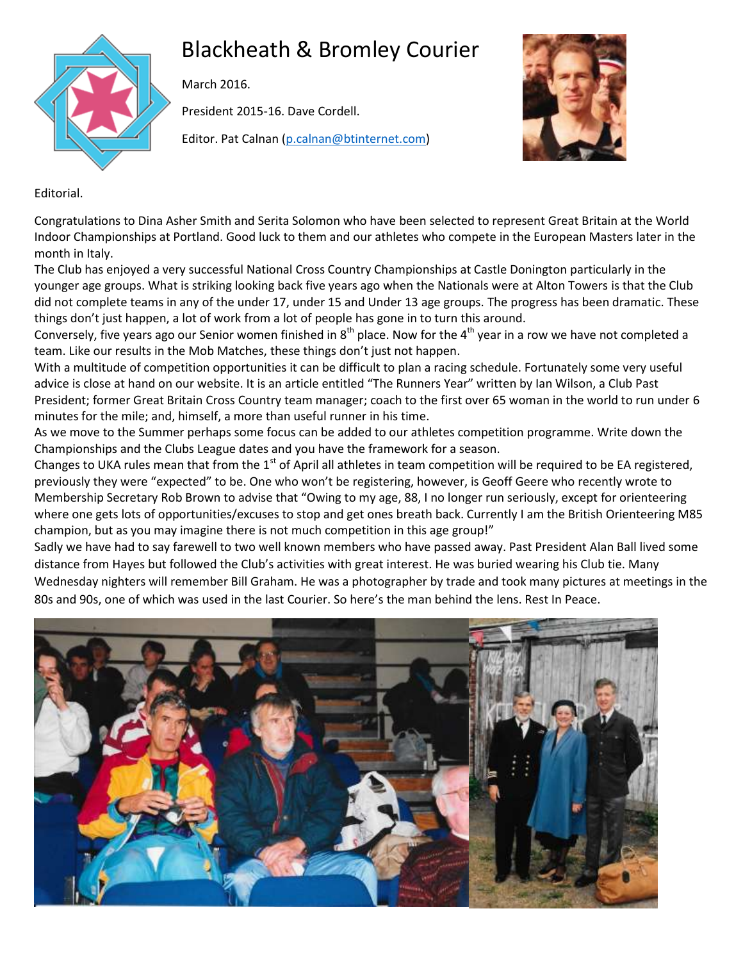

# Blackheath & Bromley Courier

March 2016.

President 2015-16. Dave Cordell.

Editor. Pat Calnan [\(p.calnan@btinternet.com\)](mailto:p.calnan@btinternet.com)



Editorial.

Congratulations to Dina Asher Smith and Serita Solomon who have been selected to represent Great Britain at the World Indoor Championships at Portland. Good luck to them and our athletes who compete in the European Masters later in the month in Italy.

The Club has enjoyed a very successful National Cross Country Championships at Castle Donington particularly in the younger age groups. What is striking looking back five years ago when the Nationals were at Alton Towers is that the Club did not complete teams in any of the under 17, under 15 and Under 13 age groups. The progress has been dramatic. These things don't just happen, a lot of work from a lot of people has gone in to turn this around.

Conversely, five years ago our Senior women finished in  $8^{th}$  place. Now for the  $4^{th}$  year in a row we have not completed a team. Like our results in the Mob Matches, these things don't just not happen.

With a multitude of competition opportunities it can be difficult to plan a racing schedule. Fortunately some very useful advice is close at hand on our website. It is an article entitled "The Runners Year" written by Ian Wilson, a Club Past President; former Great Britain Cross Country team manager; coach to the first over 65 woman in the world to run under 6 minutes for the mile; and, himself, a more than useful runner in his time.

As we move to the Summer perhaps some focus can be added to our athletes competition programme. Write down the Championships and the Clubs League dates and you have the framework for a season.

Changes to UKA rules mean that from the  $1<sup>st</sup>$  of April all athletes in team competition will be required to be EA registered, previously they were "expected" to be. One who won't be registering, however, is Geoff Geere who recently wrote to Membership Secretary Rob Brown to advise that "Owing to my age, 88, I no longer run seriously, except for orienteering where one gets lots of opportunities/excuses to stop and get ones breath back. Currently I am the British Orienteering M85 champion, but as you may imagine there is not much competition in this age group!"

Sadly we have had to say farewell to two well known members who have passed away. Past President Alan Ball lived some distance from Hayes but followed the Club's activities with great interest. He was buried wearing his Club tie. Many Wednesday nighters will remember Bill Graham. He was a photographer by trade and took many pictures at meetings in the 80s and 90s, one of which was used in the last Courier. So here's the man behind the lens. Rest In Peace.

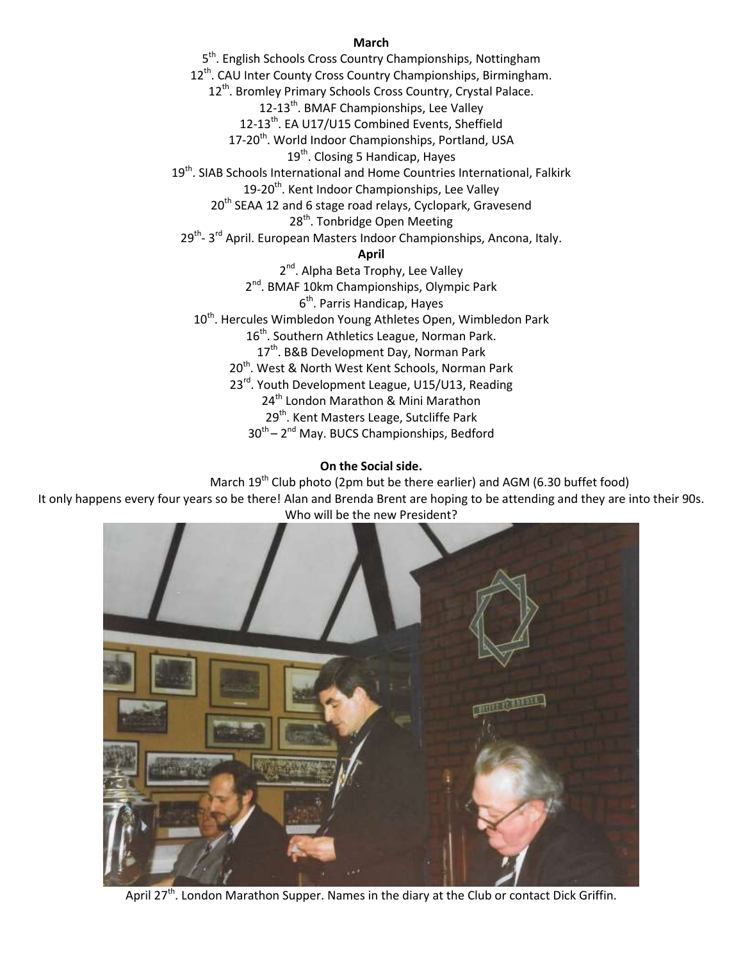### **March**

5<sup>th</sup>. English Schools Cross Country Championships, Nottingham 12<sup>th</sup>. CAU Inter County Cross Country Championships, Birmingham. 12<sup>th</sup>. Bromley Primary Schools Cross Country, Crystal Palace. 12-13<sup>th</sup>. BMAF Championships, Lee Valley 12-13<sup>th</sup>. EA U17/U15 Combined Events, Sheffield 17-20<sup>th</sup>. World Indoor Championships, Portland, USA 19<sup>th</sup>. Closing 5 Handicap, Hayes 19<sup>th</sup>. SIAB Schools International and Home Countries International, Falkirk 19-20<sup>th</sup>. Kent Indoor Championships, Lee Valley 20<sup>th</sup> SEAA 12 and 6 stage road relays, Cyclopark, Gravesend 28<sup>th</sup>. Tonbridge Open Meeting 29<sup>th</sup>- 3<sup>rd</sup> April. European Masters Indoor Championships, Ancona, Italy. **April** 2<sup>nd</sup>. Alpha Beta Trophy, Lee Valley 2<sup>nd</sup>. BMAF 10km Championships, Olympic Park 6<sup>th</sup>. Parris Handicap, Hayes 10<sup>th</sup>. Hercules Wimbledon Young Athletes Open, Wimbledon Park 16<sup>th</sup>. Southern Athletics League, Norman Park. 17<sup>th</sup>. B&B Development Day, Norman Park 20<sup>th</sup>. West & North West Kent Schools, Norman Park 23<sup>rd</sup>. Youth Development League, U15/U13, Reading 24<sup>th</sup> London Marathon & Mini Marathon 29<sup>th</sup>. Kent Masters Leage, Sutcliffe Park 30<sup>th</sup> – 2<sup>nd</sup> May. BUCS Championships, Bedford

### **On the Social side.**

March  $19^{th}$  Club photo (2pm but be there earlier) and AGM (6.30 buffet food)

It only happens every four years so be there! Alan and Brenda Brent are hoping to be attending and they are into their 90s. Who will be the new President?



April 27<sup>th</sup>. London Marathon Supper. Names in the diary at the Club or contact Dick Griffin.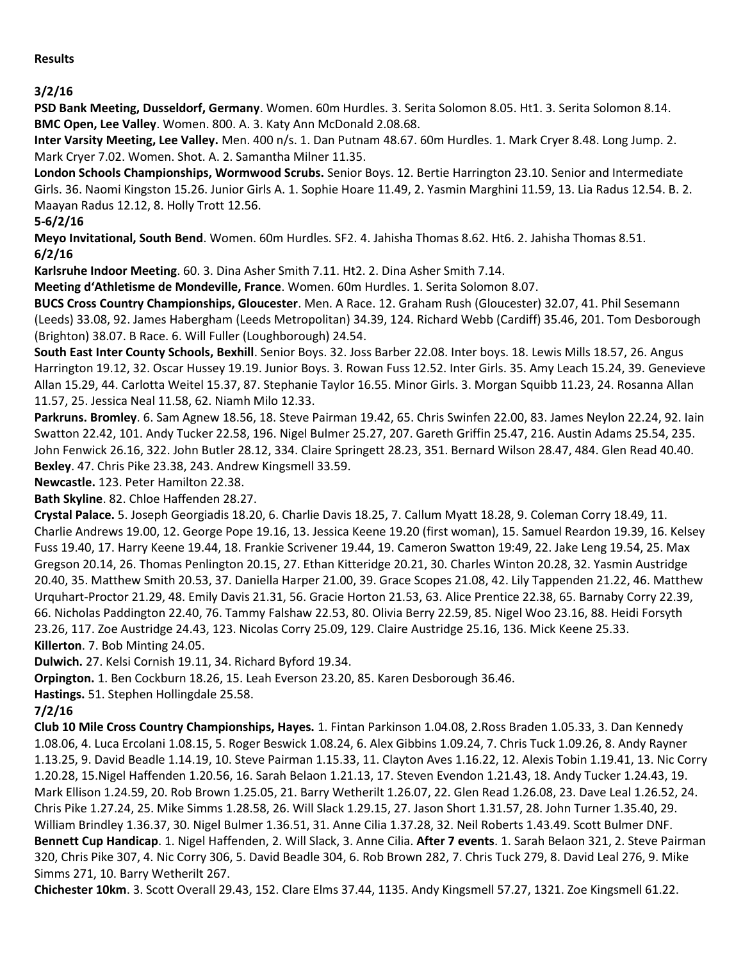**3/2/16**

**PSD Bank Meeting, Dusseldorf, Germany**. Women. 60m Hurdles. 3. Serita Solomon 8.05. Ht1. 3. Serita Solomon 8.14. **BMC Open, Lee Valley**. Women. 800. A. 3. Katy Ann McDonald 2.08.68.

**Inter Varsity Meeting, Lee Valley.** Men. 400 n/s. 1. Dan Putnam 48.67. 60m Hurdles. 1. Mark Cryer 8.48. Long Jump. 2. Mark Cryer 7.02. Women. Shot. A. 2. Samantha Milner 11.35.

**London Schools Championships, Wormwood Scrubs.** Senior Boys. 12. Bertie Harrington 23.10. Senior and Intermediate Girls. 36. Naomi Kingston 15.26. Junior Girls A. 1. Sophie Hoare 11.49, 2. Yasmin Marghini 11.59, 13. Lia Radus 12.54. B. 2. Maayan Radus 12.12, 8. Holly Trott 12.56.

## **5-6/2/16**

**Meyo Invitational, South Bend**. Women. 60m Hurdles. SF2. 4. Jahisha Thomas 8.62. Ht6. 2. Jahisha Thomas 8.51. **6/2/16**

**Karlsruhe Indoor Meeting**. 60. 3. Dina Asher Smith 7.11. Ht2. 2. Dina Asher Smith 7.14.

**Meeting d'Athletisme de Mondeville, France**. Women. 60m Hurdles. 1. Serita Solomon 8.07.

**BUCS Cross Country Championships, Gloucester**. Men. A Race. 12. Graham Rush (Gloucester) 32.07, 41. Phil Sesemann (Leeds) 33.08, 92. James Habergham (Leeds Metropolitan) 34.39, 124. Richard Webb (Cardiff) 35.46, 201. Tom Desborough (Brighton) 38.07. B Race. 6. Will Fuller (Loughborough) 24.54.

**South East Inter County Schools, Bexhill**. Senior Boys. 32. Joss Barber 22.08. Inter boys. 18. Lewis Mills 18.57, 26. Angus Harrington 19.12, 32. Oscar Hussey 19.19. Junior Boys. 3. Rowan Fuss 12.52. Inter Girls. 35. Amy Leach 15.24, 39. Genevieve Allan 15.29, 44. Carlotta Weitel 15.37, 87. Stephanie Taylor 16.55. Minor Girls. 3. Morgan Squibb 11.23, 24. Rosanna Allan 11.57, 25. Jessica Neal 11.58, 62. Niamh Milo 12.33.

**Parkruns. Bromley**. 6. Sam Agnew 18.56, 18. Steve Pairman 19.42, 65. Chris Swinfen 22.00, 83. James Neylon 22.24, 92. Iain Swatton 22.42, 101. Andy Tucker 22.58, 196. Nigel Bulmer 25.27, 207. Gareth Griffin 25.47, 216. Austin Adams 25.54, 235. John Fenwick 26.16, 322. John Butler 28.12, 334. Claire Springett 28.23, 351. Bernard Wilson 28.47, 484. Glen Read 40.40. **Bexley**. 47. Chris Pike 23.38, 243. Andrew Kingsmell 33.59.

**Newcastle.** 123. Peter Hamilton 22.38.

**Bath Skyline**. 82. Chloe Haffenden 28.27.

**Crystal Palace.** 5. Joseph Georgiadis 18.20, 6. Charlie Davis 18.25, 7. Callum Myatt 18.28, 9. Coleman Corry 18.49, 11. Charlie Andrews 19.00, 12. George Pope 19.16, 13. Jessica Keene 19.20 (first woman), 15. Samuel Reardon 19.39, 16. Kelsey Fuss 19.40, 17. Harry Keene 19.44, 18. Frankie Scrivener 19.44, 19. Cameron Swatton 19:49, 22. Jake Leng 19.54, 25. Max Gregson 20.14, 26. Thomas Penlington 20.15, 27. Ethan Kitteridge 20.21, 30. Charles Winton 20.28, 32. Yasmin Austridge 20.40, 35. Matthew Smith 20.53, 37. Daniella Harper 21.00, 39. Grace Scopes 21.08, 42. Lily Tappenden 21.22, 46. Matthew Urquhart-Proctor 21.29, 48. Emily Davis 21.31, 56. Gracie Horton 21.53, 63. Alice Prentice 22.38, 65. Barnaby Corry 22.39, 66. Nicholas Paddington 22.40, 76. Tammy Falshaw 22.53, 80. Olivia Berry 22.59, 85. Nigel Woo 23.16, 88. Heidi Forsyth 23.26, 117. Zoe Austridge 24.43, 123. Nicolas Corry 25.09, 129. Claire Austridge 25.16, 136. Mick Keene 25.33. **Killerton**. 7. Bob Minting 24.05.

**Dulwich.** 27. Kelsi Cornish 19.11, 34. Richard Byford 19.34.

**Orpington.** 1. Ben Cockburn 18.26, 15. Leah Everson 23.20, 85. Karen Desborough 36.46.

**Hastings.** 51. Stephen Hollingdale 25.58.

## **7/2/16**

**Club 10 Mile Cross Country Championships, Hayes.** 1. Fintan Parkinson 1.04.08, 2.Ross Braden 1.05.33, 3. Dan Kennedy 1.08.06, 4. Luca Ercolani 1.08.15, 5. Roger Beswick 1.08.24, 6. Alex Gibbins 1.09.24, 7. Chris Tuck 1.09.26, 8. Andy Rayner 1.13.25, 9. David Beadle 1.14.19, 10. Steve Pairman 1.15.33, 11. Clayton Aves 1.16.22, 12. Alexis Tobin 1.19.41, 13. Nic Corry 1.20.28, 15.Nigel Haffenden 1.20.56, 16. Sarah Belaon 1.21.13, 17. Steven Evendon 1.21.43, 18. Andy Tucker 1.24.43, 19. Mark Ellison 1.24.59, 20. Rob Brown 1.25.05, 21. Barry Wetherilt 1.26.07, 22. Glen Read 1.26.08, 23. Dave Leal 1.26.52, 24. Chris Pike 1.27.24, 25. Mike Simms 1.28.58, 26. Will Slack 1.29.15, 27. Jason Short 1.31.57, 28. John Turner 1.35.40, 29. William Brindley 1.36.37, 30. Nigel Bulmer 1.36.51, 31. Anne Cilia 1.37.28, 32. Neil Roberts 1.43.49. Scott Bulmer DNF. **Bennett Cup Handicap**. 1. Nigel Haffenden, 2. Will Slack, 3. Anne Cilia. **After 7 events**. 1. Sarah Belaon 321, 2. Steve Pairman 320, Chris Pike 307, 4. Nic Corry 306, 5. David Beadle 304, 6. Rob Brown 282, 7. Chris Tuck 279, 8. David Leal 276, 9. Mike Simms 271, 10. Barry Wetherilt 267.

**Chichester 10km**. 3. Scott Overall 29.43, 152. Clare Elms 37.44, 1135. Andy Kingsmell 57.27, 1321. Zoe Kingsmell 61.22.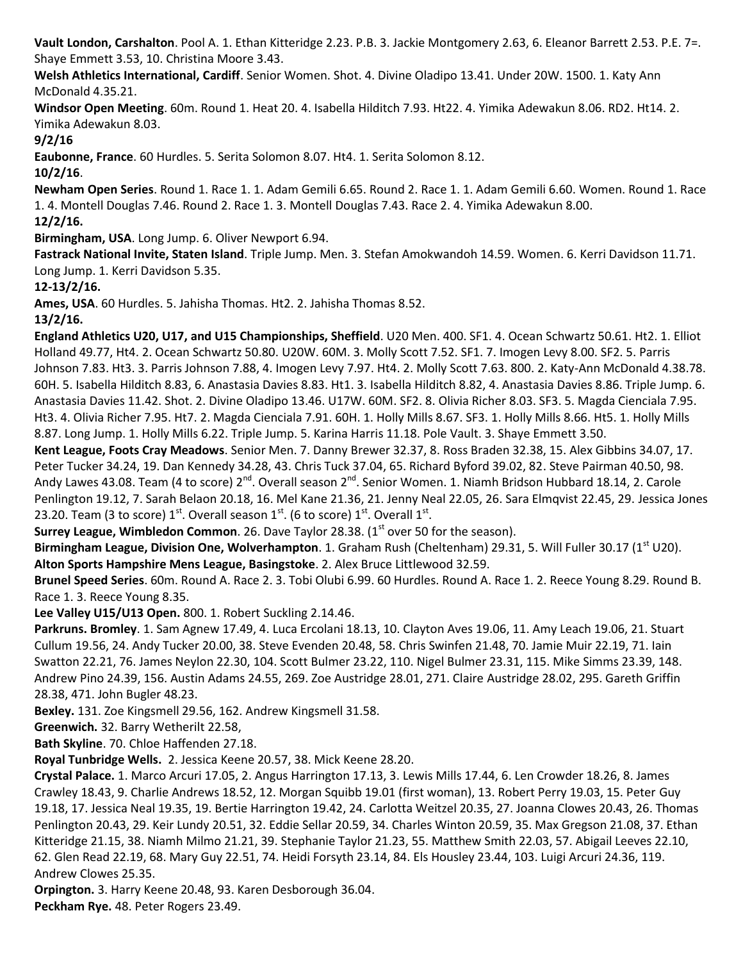**Vault London, Carshalton**. Pool A. 1. Ethan Kitteridge 2.23. P.B. 3. Jackie Montgomery 2.63, 6. Eleanor Barrett 2.53. P.E. 7=. Shaye Emmett 3.53, 10. Christina Moore 3.43.

**Welsh Athletics International, Cardiff**. Senior Women. Shot. 4. Divine Oladipo 13.41. Under 20W. 1500. 1. Katy Ann McDonald 4.35.21.

**Windsor Open Meeting**. 60m. Round 1. Heat 20. 4. Isabella Hilditch 7.93. Ht22. 4. Yimika Adewakun 8.06. RD2. Ht14. 2. Yimika Adewakun 8.03.

**9/2/16**

**Eaubonne, France**. 60 Hurdles. 5. Serita Solomon 8.07. Ht4. 1. Serita Solomon 8.12.

**10/2/16**.

**Newham Open Series**. Round 1. Race 1. 1. Adam Gemili 6.65. Round 2. Race 1. 1. Adam Gemili 6.60. Women. Round 1. Race 1. 4. Montell Douglas 7.46. Round 2. Race 1. 3. Montell Douglas 7.43. Race 2. 4. Yimika Adewakun 8.00. **12/2/16.**

**Birmingham, USA**. Long Jump. 6. Oliver Newport 6.94.

**Fastrack National Invite, Staten Island**. Triple Jump. Men. 3. Stefan Amokwandoh 14.59. Women. 6. Kerri Davidson 11.71. Long Jump. 1. Kerri Davidson 5.35.

**12-13/2/16.** 

**Ames, USA**. 60 Hurdles. 5. Jahisha Thomas. Ht2. 2. Jahisha Thomas 8.52.

**13/2/16.**

**England Athletics U20, U17, and U15 Championships, Sheffield**. U20 Men. 400. SF1. 4. Ocean Schwartz 50.61. Ht2. 1. Elliot Holland 49.77, Ht4. 2. Ocean Schwartz 50.80. U20W. 60M. 3. Molly Scott 7.52. SF1. 7. Imogen Levy 8.00. SF2. 5. Parris Johnson 7.83. Ht3. 3. Parris Johnson 7.88, 4. Imogen Levy 7.97. Ht4. 2. Molly Scott 7.63. 800. 2. Katy-Ann McDonald 4.38.78. 60H. 5. Isabella Hilditch 8.83, 6. Anastasia Davies 8.83. Ht1. 3. Isabella Hilditch 8.82, 4. Anastasia Davies 8.86. Triple Jump. 6. Anastasia Davies 11.42. Shot. 2. Divine Oladipo 13.46. U17W. 60M. SF2. 8. Olivia Richer 8.03. SF3. 5. Magda Cienciala 7.95. Ht3. 4. Olivia Richer 7.95. Ht7. 2. Magda Cienciala 7.91. 60H. 1. Holly Mills 8.67. SF3. 1. Holly Mills 8.66. Ht5. 1. Holly Mills 8.87. Long Jump. 1. Holly Mills 6.22. Triple Jump. 5. Karina Harris 11.18. Pole Vault. 3. Shaye Emmett 3.50.

**Kent League, Foots Cray Meadows**. Senior Men. 7. Danny Brewer 32.37, 8. Ross Braden 32.38, 15. Alex Gibbins 34.07, 17. Peter Tucker 34.24, 19. Dan Kennedy 34.28, 43. Chris Tuck 37.04, 65. Richard Byford 39.02, 82. Steve Pairman 40.50, 98. Andy Lawes 43.08. Team (4 to score) 2<sup>nd</sup>. Overall season 2<sup>nd</sup>. Senior Women. 1. Niamh Bridson Hubbard 18.14, 2. Carole Penlington 19.12, 7. Sarah Belaon 20.18, 16. Mel Kane 21.36, 21. Jenny Neal 22.05, 26. Sara Elmqvist 22.45, 29. Jessica Jones 23.20. Team (3 to score)  $1^{st}$ . Overall season  $1^{st}$ . (6 to score)  $1^{st}$ . Overall  $1^{st}$ .

**Surrey League, Wimbledon Common**. 26. Dave Taylor 28.38. (1<sup>st</sup> over 50 for the season).

**Birmingham League, Division One, Wolverhampton**. 1. Graham Rush (Cheltenham) 29.31, 5. Will Fuller 30.17 (1<sup>st</sup> U20). **Alton Sports Hampshire Mens League, Basingstoke**. 2. Alex Bruce Littlewood 32.59.

**Brunel Speed Series**. 60m. Round A. Race 2. 3. Tobi Olubi 6.99. 60 Hurdles. Round A. Race 1. 2. Reece Young 8.29. Round B. Race 1. 3. Reece Young 8.35.

**Lee Valley U15/U13 Open.** 800. 1. Robert Suckling 2.14.46.

**Parkruns. Bromley**. 1. Sam Agnew 17.49, 4. Luca Ercolani 18.13, 10. Clayton Aves 19.06, 11. Amy Leach 19.06, 21. Stuart Cullum 19.56, 24. Andy Tucker 20.00, 38. Steve Evenden 20.48, 58. Chris Swinfen 21.48, 70. Jamie Muir 22.19, 71. Iain Swatton 22.21, 76. James Neylon 22.30, 104. Scott Bulmer 23.22, 110. Nigel Bulmer 23.31, 115. Mike Simms 23.39, 148. Andrew Pino 24.39, 156. Austin Adams 24.55, 269. Zoe Austridge 28.01, 271. Claire Austridge 28.02, 295. Gareth Griffin 28.38, 471. John Bugler 48.23.

**Bexley.** 131. Zoe Kingsmell 29.56, 162. Andrew Kingsmell 31.58.

**Greenwich.** 32. Barry Wetherilt 22.58,

**Bath Skyline**. 70. Chloe Haffenden 27.18.

**Royal Tunbridge Wells.** 2. Jessica Keene 20.57, 38. Mick Keene 28.20.

**Crystal Palace.** 1. Marco Arcuri 17.05, 2. Angus Harrington 17.13, 3. Lewis Mills 17.44, 6. Len Crowder 18.26, 8. James Crawley 18.43, 9. Charlie Andrews 18.52, 12. Morgan Squibb 19.01 (first woman), 13. Robert Perry 19.03, 15. Peter Guy 19.18, 17. Jessica Neal 19.35, 19. Bertie Harrington 19.42, 24. Carlotta Weitzel 20.35, 27. Joanna Clowes 20.43, 26. Thomas Penlington 20.43, 29. Keir Lundy 20.51, 32. Eddie Sellar 20.59, 34. Charles Winton 20.59, 35. Max Gregson 21.08, 37. Ethan Kitteridge 21.15, 38. Niamh Milmo 21.21, 39. Stephanie Taylor 21.23, 55. Matthew Smith 22.03, 57. Abigail Leeves 22.10, 62. Glen Read 22.19, 68. Mary Guy 22.51, 74. Heidi Forsyth 23.14, 84. Els Housley 23.44, 103. Luigi Arcuri 24.36, 119. Andrew Clowes 25.35.

**Orpington.** 3. Harry Keene 20.48, 93. Karen Desborough 36.04.

**Peckham Rye.** 48. Peter Rogers 23.49.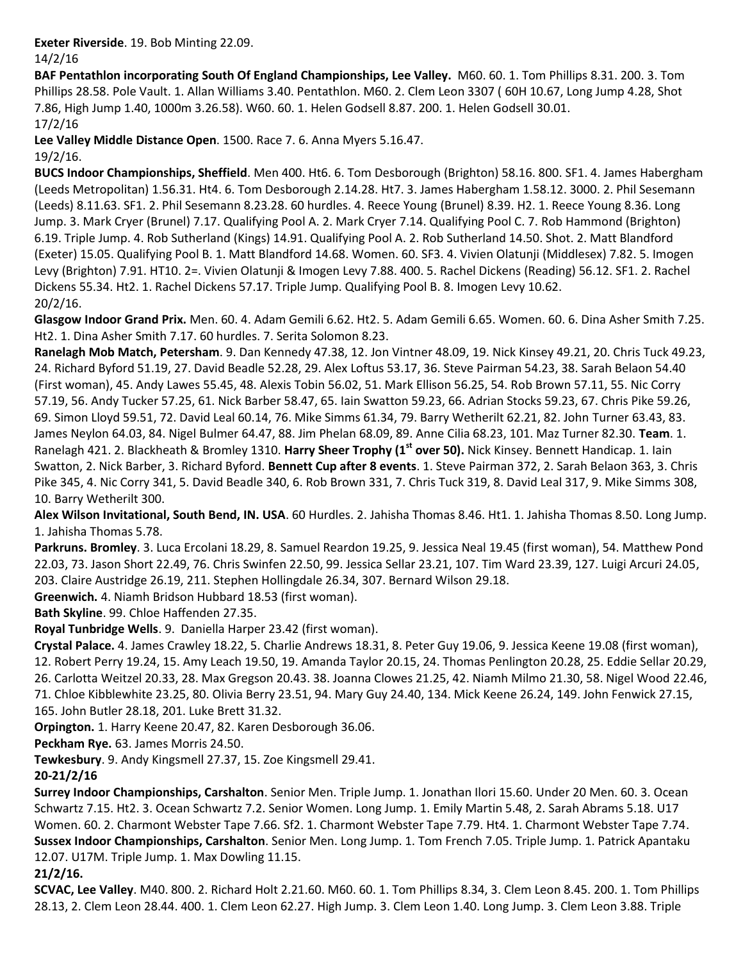**Exeter Riverside**. 19. Bob Minting 22.09. 14/2/16

**BAF Pentathlon incorporating South Of England Championships, Lee Valley.** M60. 60. 1. Tom Phillips 8.31. 200. 3. Tom Phillips 28.58. Pole Vault. 1. Allan Williams 3.40. Pentathlon. M60. 2. Clem Leon 3307 ( 60H 10.67, Long Jump 4.28, Shot 7.86, High Jump 1.40, 1000m 3.26.58). W60. 60. 1. Helen Godsell 8.87. 200. 1. Helen Godsell 30.01. 17/2/16

**Lee Valley Middle Distance Open**. 1500. Race 7. 6. Anna Myers 5.16.47.

## 19/2/16.

**BUCS Indoor Championships, Sheffield**. Men 400. Ht6. 6. Tom Desborough (Brighton) 58.16. 800. SF1. 4. James Habergham (Leeds Metropolitan) 1.56.31. Ht4. 6. Tom Desborough 2.14.28. Ht7. 3. James Habergham 1.58.12. 3000. 2. Phil Sesemann (Leeds) 8.11.63. SF1. 2. Phil Sesemann 8.23.28. 60 hurdles. 4. Reece Young (Brunel) 8.39. H2. 1. Reece Young 8.36. Long Jump. 3. Mark Cryer (Brunel) 7.17. Qualifying Pool A. 2. Mark Cryer 7.14. Qualifying Pool C. 7. Rob Hammond (Brighton) 6.19. Triple Jump. 4. Rob Sutherland (Kings) 14.91. Qualifying Pool A. 2. Rob Sutherland 14.50. Shot. 2. Matt Blandford (Exeter) 15.05. Qualifying Pool B. 1. Matt Blandford 14.68. Women. 60. SF3. 4. Vivien Olatunji (Middlesex) 7.82. 5. Imogen Levy (Brighton) 7.91. HT10. 2=. Vivien Olatunji & Imogen Levy 7.88. 400. 5. Rachel Dickens (Reading) 56.12. SF1. 2. Rachel Dickens 55.34. Ht2. 1. Rachel Dickens 57.17. Triple Jump. Qualifying Pool B. 8. Imogen Levy 10.62. 20/2/16.

**Glasgow Indoor Grand Prix.** Men. 60. 4. Adam Gemili 6.62. Ht2. 5. Adam Gemili 6.65. Women. 60. 6. Dina Asher Smith 7.25. Ht2. 1. Dina Asher Smith 7.17. 60 hurdles. 7. Serita Solomon 8.23.

**Ranelagh Mob Match, Petersham**. 9. Dan Kennedy 47.38, 12. Jon Vintner 48.09, 19. Nick Kinsey 49.21, 20. Chris Tuck 49.23, 24. Richard Byford 51.19, 27. David Beadle 52.28, 29. Alex Loftus 53.17, 36. Steve Pairman 54.23, 38. Sarah Belaon 54.40 (First woman), 45. Andy Lawes 55.45, 48. Alexis Tobin 56.02, 51. Mark Ellison 56.25, 54. Rob Brown 57.11, 55. Nic Corry 57.19, 56. Andy Tucker 57.25, 61. Nick Barber 58.47, 65. Iain Swatton 59.23, 66. Adrian Stocks 59.23, 67. Chris Pike 59.26, 69. Simon Lloyd 59.51, 72. David Leal 60.14, 76. Mike Simms 61.34, 79. Barry Wetherilt 62.21, 82. John Turner 63.43, 83. James Neylon 64.03, 84. Nigel Bulmer 64.47, 88. Jim Phelan 68.09, 89. Anne Cilia 68.23, 101. Maz Turner 82.30. **Team**. 1. Ranelagh 421. 2. Blackheath & Bromley 1310. **Harry Sheer Trophy (1st over 50).** Nick Kinsey. Bennett Handicap. 1. Iain Swatton, 2. Nick Barber, 3. Richard Byford. **Bennett Cup after 8 events**. 1. Steve Pairman 372, 2. Sarah Belaon 363, 3. Chris Pike 345, 4. Nic Corry 341, 5. David Beadle 340, 6. Rob Brown 331, 7. Chris Tuck 319, 8. David Leal 317, 9. Mike Simms 308, 10. Barry Wetherilt 300.

**Alex Wilson Invitational, South Bend, IN. USA**. 60 Hurdles. 2. Jahisha Thomas 8.46. Ht1. 1. Jahisha Thomas 8.50. Long Jump. 1. Jahisha Thomas 5.78.

**Parkruns. Bromley**. 3. Luca Ercolani 18.29, 8. Samuel Reardon 19.25, 9. Jessica Neal 19.45 (first woman), 54. Matthew Pond 22.03, 73. Jason Short 22.49, 76. Chris Swinfen 22.50, 99. Jessica Sellar 23.21, 107. Tim Ward 23.39, 127. Luigi Arcuri 24.05, 203. Claire Austridge 26.19, 211. Stephen Hollingdale 26.34, 307. Bernard Wilson 29.18.

**Greenwich.** 4. Niamh Bridson Hubbard 18.53 (first woman).

**Bath Skyline**. 99. Chloe Haffenden 27.35.

**Royal Tunbridge Wells**. 9. Daniella Harper 23.42 (first woman).

**Crystal Palace.** 4. James Crawley 18.22, 5. Charlie Andrews 18.31, 8. Peter Guy 19.06, 9. Jessica Keene 19.08 (first woman), 12. Robert Perry 19.24, 15. Amy Leach 19.50, 19. Amanda Taylor 20.15, 24. Thomas Penlington 20.28, 25. Eddie Sellar 20.29, 26. Carlotta Weitzel 20.33, 28. Max Gregson 20.43. 38. Joanna Clowes 21.25, 42. Niamh Milmo 21.30, 58. Nigel Wood 22.46, 71. Chloe Kibblewhite 23.25, 80. Olivia Berry 23.51, 94. Mary Guy 24.40, 134. Mick Keene 26.24, 149. John Fenwick 27.15, 165. John Butler 28.18, 201. Luke Brett 31.32.

**Orpington.** 1. Harry Keene 20.47, 82. Karen Desborough 36.06.

**Peckham Rye.** 63. James Morris 24.50.

**Tewkesbury**. 9. Andy Kingsmell 27.37, 15. Zoe Kingsmell 29.41.

**20-21/2/16**

**Surrey Indoor Championships, Carshalton**. Senior Men. Triple Jump. 1. Jonathan Ilori 15.60. Under 20 Men. 60. 3. Ocean Schwartz 7.15. Ht2. 3. Ocean Schwartz 7.2. Senior Women. Long Jump. 1. Emily Martin 5.48, 2. Sarah Abrams 5.18. U17 Women. 60. 2. Charmont Webster Tape 7.66. Sf2. 1. Charmont Webster Tape 7.79. Ht4. 1. Charmont Webster Tape 7.74. **Sussex Indoor Championships, Carshalton**. Senior Men. Long Jump. 1. Tom French 7.05. Triple Jump. 1. Patrick Apantaku 12.07. U17M. Triple Jump. 1. Max Dowling 11.15.

## **21/2/16.**

**SCVAC, Lee Valley**. M40. 800. 2. Richard Holt 2.21.60. M60. 60. 1. Tom Phillips 8.34, 3. Clem Leon 8.45. 200. 1. Tom Phillips 28.13, 2. Clem Leon 28.44. 400. 1. Clem Leon 62.27. High Jump. 3. Clem Leon 1.40. Long Jump. 3. Clem Leon 3.88. Triple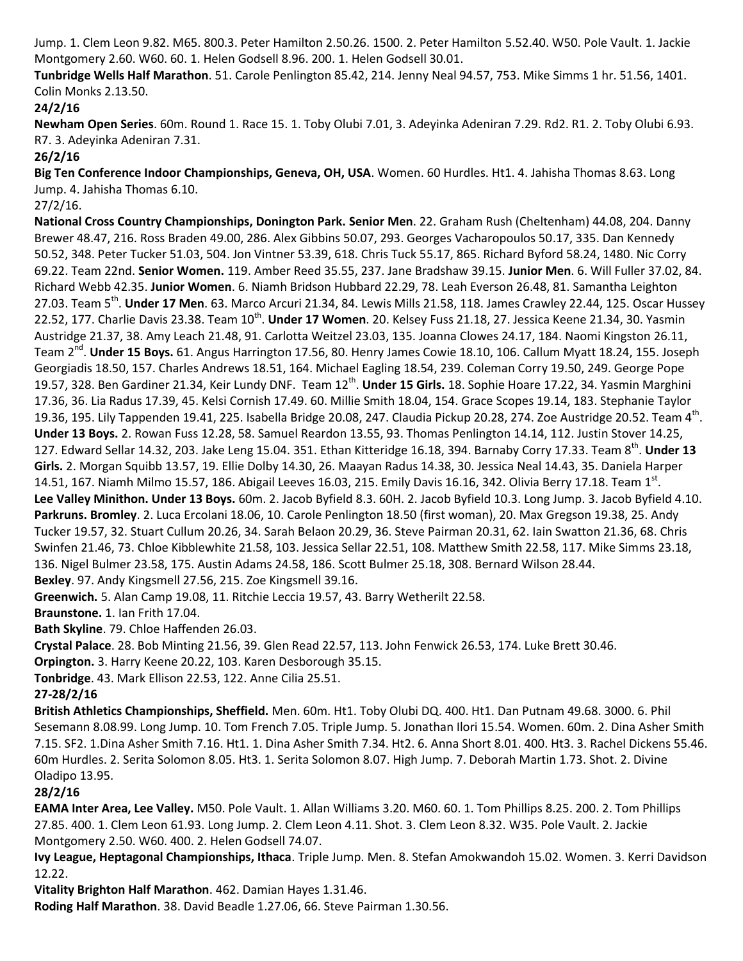Jump. 1. Clem Leon 9.82. M65. 800.3. Peter Hamilton 2.50.26. 1500. 2. Peter Hamilton 5.52.40. W50. Pole Vault. 1. Jackie Montgomery 2.60. W60. 60. 1. Helen Godsell 8.96. 200. 1. Helen Godsell 30.01.

**Tunbridge Wells Half Marathon**. 51. Carole Penlington 85.42, 214. Jenny Neal 94.57, 753. Mike Simms 1 hr. 51.56, 1401. Colin Monks 2.13.50.

## **24/2/16**

**Newham Open Series**. 60m. Round 1. Race 15. 1. Toby Olubi 7.01, 3. Adeyinka Adeniran 7.29. Rd2. R1. 2. Toby Olubi 6.93. R7. 3. Adeyinka Adeniran 7.31.

**26/2/16**

**Big Ten Conference Indoor Championships, Geneva, OH, USA**. Women. 60 Hurdles. Ht1. 4. Jahisha Thomas 8.63. Long Jump. 4. Jahisha Thomas 6.10.

27/2/16.

**National Cross Country Championships, Donington Park. Senior Men**. 22. Graham Rush (Cheltenham) 44.08, 204. Danny Brewer 48.47, 216. Ross Braden 49.00, 286. Alex Gibbins 50.07, 293. Georges Vacharopoulos 50.17, 335. Dan Kennedy 50.52, 348. Peter Tucker 51.03, 504. Jon Vintner 53.39, 618. Chris Tuck 55.17, 865. Richard Byford 58.24, 1480. Nic Corry 69.22. Team 22nd. **Senior Women.** 119. Amber Reed 35.55, 237. Jane Bradshaw 39.15. **Junior Men**. 6. Will Fuller 37.02, 84. Richard Webb 42.35. **Junior Women**. 6. Niamh Bridson Hubbard 22.29, 78. Leah Everson 26.48, 81. Samantha Leighton 27.03. Team 5<sup>th</sup>. **Under 17 Men**. 63. Marco Arcuri 21.34, 84. Lewis Mills 21.58, 118. James Crawley 22.44, 125. Oscar Hussey 22.52, 177. Charlie Davis 23.38. Team 10<sup>th</sup>. **Under 17 Women**. 20. Kelsey Fuss 21.18, 27. Jessica Keene 21.34, 30. Yasmin Austridge 21.37, 38. Amy Leach 21.48, 91. Carlotta Weitzel 23.03, 135. Joanna Clowes 24.17, 184. Naomi Kingston 26.11, Team 2<sup>nd</sup>. **Under 15 Boys.** 61. Angus Harrington 17.56, 80. Henry James Cowie 18.10, 106. Callum Myatt 18.24, 155. Joseph Georgiadis 18.50, 157. Charles Andrews 18.51, 164. Michael Eagling 18.54, 239. Coleman Corry 19.50, 249. George Pope 19.57, 328. Ben Gardiner 21.34, Keir Lundy DNF. Team 12<sup>th</sup>. **Under 15 Girls.** 18. Sophie Hoare 17.22, 34. Yasmin Marghini 17.36, 36. Lia Radus 17.39, 45. Kelsi Cornish 17.49. 60. Millie Smith 18.04, 154. Grace Scopes 19.14, 183. Stephanie Taylor 19.36, 195. Lily Tappenden 19.41, 225. Isabella Bridge 20.08, 247. Claudia Pickup 20.28, 274. Zoe Austridge 20.52. Team 4<sup>th</sup>. **Under 13 Boys.** 2. Rowan Fuss 12.28, 58. Samuel Reardon 13.55, 93. Thomas Penlington 14.14, 112. Justin Stover 14.25, 127. Edward Sellar 14.32, 203. Jake Leng 15.04. 351. Ethan Kitteridge 16.18, 394. Barnaby Corry 17.33. Team 8<sup>th</sup>. Under 13 **Girls.** 2. Morgan Squibb 13.57, 19. Ellie Dolby 14.30, 26. Maayan Radus 14.38, 30. Jessica Neal 14.43, 35. Daniela Harper 14.51, 167. Niamh Milmo 15.57, 186. Abigail Leeves 16.03, 215. Emily Davis 16.16, 342. Olivia Berry 17.18. Team 1st. **Lee Valley Minithon. Under 13 Boys.** 60m. 2. Jacob Byfield 8.3. 60H. 2. Jacob Byfield 10.3. Long Jump. 3. Jacob Byfield 4.10. **Parkruns. Bromley**. 2. Luca Ercolani 18.06, 10. Carole Penlington 18.50 (first woman), 20. Max Gregson 19.38, 25. Andy Tucker 19.57, 32. Stuart Cullum 20.26, 34. Sarah Belaon 20.29, 36. Steve Pairman 20.31, 62. Iain Swatton 21.36, 68. Chris Swinfen 21.46, 73. Chloe Kibblewhite 21.58, 103. Jessica Sellar 22.51, 108. Matthew Smith 22.58, 117. Mike Simms 23.18, 136. Nigel Bulmer 23.58, 175. Austin Adams 24.58, 186. Scott Bulmer 25.18, 308. Bernard Wilson 28.44. **Bexley**. 97. Andy Kingsmell 27.56, 215. Zoe Kingsmell 39.16.

**Greenwich.** 5. Alan Camp 19.08, 11. Ritchie Leccia 19.57, 43. Barry Wetherilt 22.58.

**Braunstone.** 1. Ian Frith 17.04.

**Bath Skyline**. 79. Chloe Haffenden 26.03.

**Crystal Palace**. 28. Bob Minting 21.56, 39. Glen Read 22.57, 113. John Fenwick 26.53, 174. Luke Brett 30.46.

**Orpington.** 3. Harry Keene 20.22, 103. Karen Desborough 35.15.

**Tonbridge**. 43. Mark Ellison 22.53, 122. Anne Cilia 25.51.

# **27-28/2/16**

**British Athletics Championships, Sheffield.** Men. 60m. Ht1. Toby Olubi DQ. 400. Ht1. Dan Putnam 49.68. 3000. 6. Phil Sesemann 8.08.99. Long Jump. 10. Tom French 7.05. Triple Jump. 5. Jonathan Ilori 15.54. Women. 60m. 2. Dina Asher Smith 7.15. SF2. 1.Dina Asher Smith 7.16. Ht1. 1. Dina Asher Smith 7.34. Ht2. 6. Anna Short 8.01. 400. Ht3. 3. Rachel Dickens 55.46. 60m Hurdles. 2. Serita Solomon 8.05. Ht3. 1. Serita Solomon 8.07. High Jump. 7. Deborah Martin 1.73. Shot. 2. Divine Oladipo 13.95.

## **28/2/16**

**EAMA Inter Area, Lee Valley.** M50. Pole Vault. 1. Allan Williams 3.20. M60. 60. 1. Tom Phillips 8.25. 200. 2. Tom Phillips 27.85. 400. 1. Clem Leon 61.93. Long Jump. 2. Clem Leon 4.11. Shot. 3. Clem Leon 8.32. W35. Pole Vault. 2. Jackie Montgomery 2.50. W60. 400. 2. Helen Godsell 74.07.

**Ivy League, Heptagonal Championships, Ithaca**. Triple Jump. Men. 8. Stefan Amokwandoh 15.02. Women. 3. Kerri Davidson 12.22.

**Vitality Brighton Half Marathon**. 462. Damian Hayes 1.31.46.

**Roding Half Marathon**. 38. David Beadle 1.27.06, 66. Steve Pairman 1.30.56.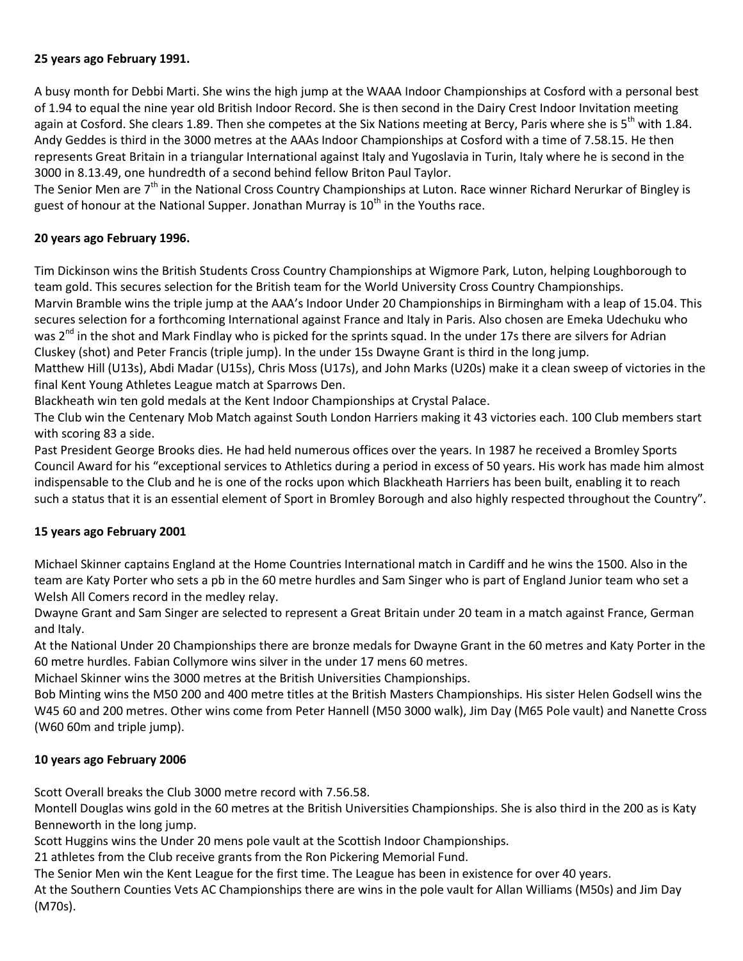## **25 years ago February 1991.**

A busy month for Debbi Marti. She wins the high jump at the WAAA Indoor Championships at Cosford with a personal best of 1.94 to equal the nine year old British Indoor Record. She is then second in the Dairy Crest Indoor Invitation meeting again at Cosford. She clears 1.89. Then she competes at the Six Nations meeting at Bercy, Paris where she is 5<sup>th</sup> with 1.84. Andy Geddes is third in the 3000 metres at the AAAs Indoor Championships at Cosford with a time of 7.58.15. He then represents Great Britain in a triangular International against Italy and Yugoslavia in Turin, Italy where he is second in the 3000 in 8.13.49, one hundredth of a second behind fellow Briton Paul Taylor.

The Senior Men are 7<sup>th</sup> in the National Cross Country Championships at Luton. Race winner Richard Nerurkar of Bingley is guest of honour at the National Supper. Jonathan Murray is 10<sup>th</sup> in the Youths race.

# **20 years ago February 1996.**

Tim Dickinson wins the British Students Cross Country Championships at Wigmore Park, Luton, helping Loughborough to team gold. This secures selection for the British team for the World University Cross Country Championships. Marvin Bramble wins the triple jump at the AAA's Indoor Under 20 Championships in Birmingham with a leap of 15.04. This secures selection for a forthcoming International against France and Italy in Paris. Also chosen are Emeka Udechuku who was  $2^{nd}$  in the shot and Mark Findlay who is picked for the sprints squad. In the under 17s there are silvers for Adrian Cluskey (shot) and Peter Francis (triple jump). In the under 15s Dwayne Grant is third in the long jump.

Matthew Hill (U13s), Abdi Madar (U15s), Chris Moss (U17s), and John Marks (U20s) make it a clean sweep of victories in the final Kent Young Athletes League match at Sparrows Den.

Blackheath win ten gold medals at the Kent Indoor Championships at Crystal Palace.

The Club win the Centenary Mob Match against South London Harriers making it 43 victories each. 100 Club members start with scoring 83 a side.

Past President George Brooks dies. He had held numerous offices over the years. In 1987 he received a Bromley Sports Council Award for his "exceptional services to Athletics during a period in excess of 50 years. His work has made him almost indispensable to the Club and he is one of the rocks upon which Blackheath Harriers has been built, enabling it to reach such a status that it is an essential element of Sport in Bromley Borough and also highly respected throughout the Country".

## **15 years ago February 2001**

Michael Skinner captains England at the Home Countries International match in Cardiff and he wins the 1500. Also in the team are Katy Porter who sets a pb in the 60 metre hurdles and Sam Singer who is part of England Junior team who set a Welsh All Comers record in the medley relay.

Dwayne Grant and Sam Singer are selected to represent a Great Britain under 20 team in a match against France, German and Italy.

At the National Under 20 Championships there are bronze medals for Dwayne Grant in the 60 metres and Katy Porter in the 60 metre hurdles. Fabian Collymore wins silver in the under 17 mens 60 metres.

Michael Skinner wins the 3000 metres at the British Universities Championships.

Bob Minting wins the M50 200 and 400 metre titles at the British Masters Championships. His sister Helen Godsell wins the W45 60 and 200 metres. Other wins come from Peter Hannell (M50 3000 walk), Jim Day (M65 Pole vault) and Nanette Cross (W60 60m and triple jump).

## **10 years ago February 2006**

Scott Overall breaks the Club 3000 metre record with 7.56.58.

Montell Douglas wins gold in the 60 metres at the British Universities Championships. She is also third in the 200 as is Katy Benneworth in the long jump.

Scott Huggins wins the Under 20 mens pole vault at the Scottish Indoor Championships.

21 athletes from the Club receive grants from the Ron Pickering Memorial Fund.

The Senior Men win the Kent League for the first time. The League has been in existence for over 40 years.

At the Southern Counties Vets AC Championships there are wins in the pole vault for Allan Williams (M50s) and Jim Day (M70s).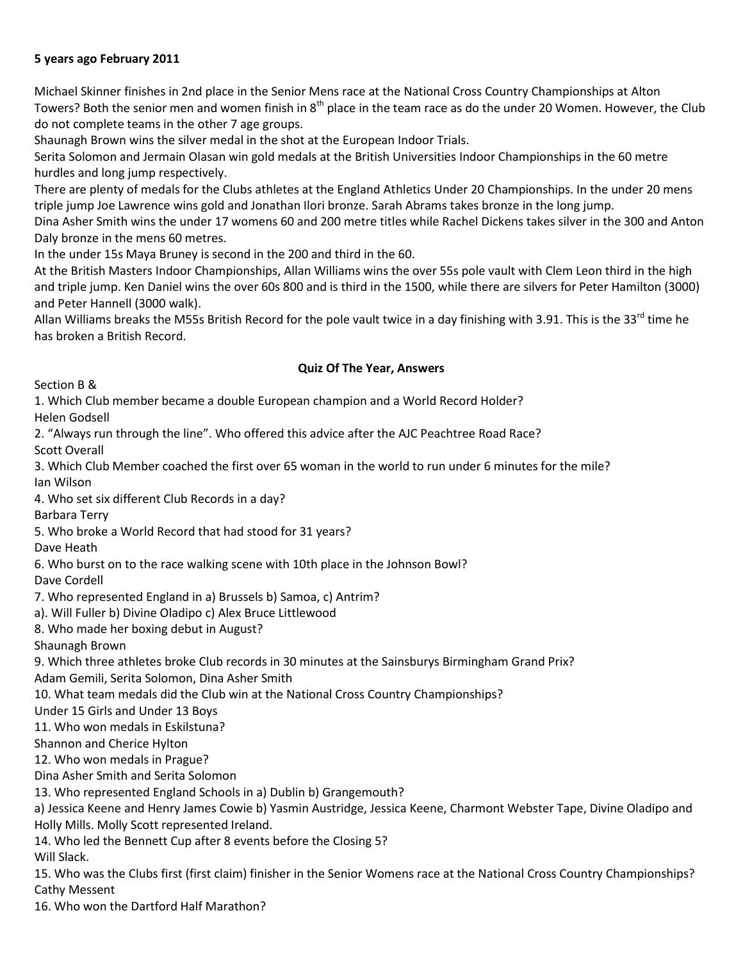## **5 years ago February 2011**

Michael Skinner finishes in 2nd place in the Senior Mens race at the National Cross Country Championships at Alton Towers? Both the senior men and women finish in 8<sup>th</sup> place in the team race as do the under 20 Women. However, the Club do not complete teams in the other 7 age groups.

Shaunagh Brown wins the silver medal in the shot at the European Indoor Trials.

Serita Solomon and Jermain Olasan win gold medals at the British Universities Indoor Championships in the 60 metre hurdles and long jump respectively.

There are plenty of medals for the Clubs athletes at the England Athletics Under 20 Championships. In the under 20 mens triple jump Joe Lawrence wins gold and Jonathan Ilori bronze. Sarah Abrams takes bronze in the long jump.

Dina Asher Smith wins the under 17 womens 60 and 200 metre titles while Rachel Dickens takes silver in the 300 and Anton Daly bronze in the mens 60 metres.

In the under 15s Maya Bruney is second in the 200 and third in the 60.

At the British Masters Indoor Championships, Allan Williams wins the over 55s pole vault with Clem Leon third in the high and triple jump. Ken Daniel wins the over 60s 800 and is third in the 1500, while there are silvers for Peter Hamilton (3000) and Peter Hannell (3000 walk).

Allan Williams breaks the M55s British Record for the pole vault twice in a day finishing with 3.91. This is the 33<sup>rd</sup> time he has broken a British Record.

### **Quiz Of The Year, Answers**

Section B &

1. Which Club member became a double European champion and a World Record Holder?

Helen Godsell

2. "Always run through the line". Who offered this advice after the AJC Peachtree Road Race?

Scott Overall

3. Which Club Member coached the first over 65 woman in the world to run under 6 minutes for the mile? Ian Wilson

4. Who set six different Club Records in a day?

Barbara Terry

5. Who broke a World Record that had stood for 31 years?

Dave Heath

6. Who burst on to the race walking scene with 10th place in the Johnson Bowl?

Dave Cordell

7. Who represented England in a) Brussels b) Samoa, c) Antrim?

a). Will Fuller b) Divine Oladipo c) Alex Bruce Littlewood

8. Who made her boxing debut in August?

Shaunagh Brown

9. Which three athletes broke Club records in 30 minutes at the Sainsburys Birmingham Grand Prix?

Adam Gemili, Serita Solomon, Dina Asher Smith

10. What team medals did the Club win at the National Cross Country Championships?

Under 15 Girls and Under 13 Boys

11. Who won medals in Eskilstuna?

Shannon and Cherice Hylton

12. Who won medals in Prague?

Dina Asher Smith and Serita Solomon

13. Who represented England Schools in a) Dublin b) Grangemouth?

a) Jessica Keene and Henry James Cowie b) Yasmin Austridge, Jessica Keene, Charmont Webster Tape, Divine Oladipo and Holly Mills. Molly Scott represented Ireland.

14. Who led the Bennett Cup after 8 events before the Closing 5?

Will Slack.

15. Who was the Clubs first (first claim) finisher in the Senior Womens race at the National Cross Country Championships? Cathy Messent

16. Who won the Dartford Half Marathon?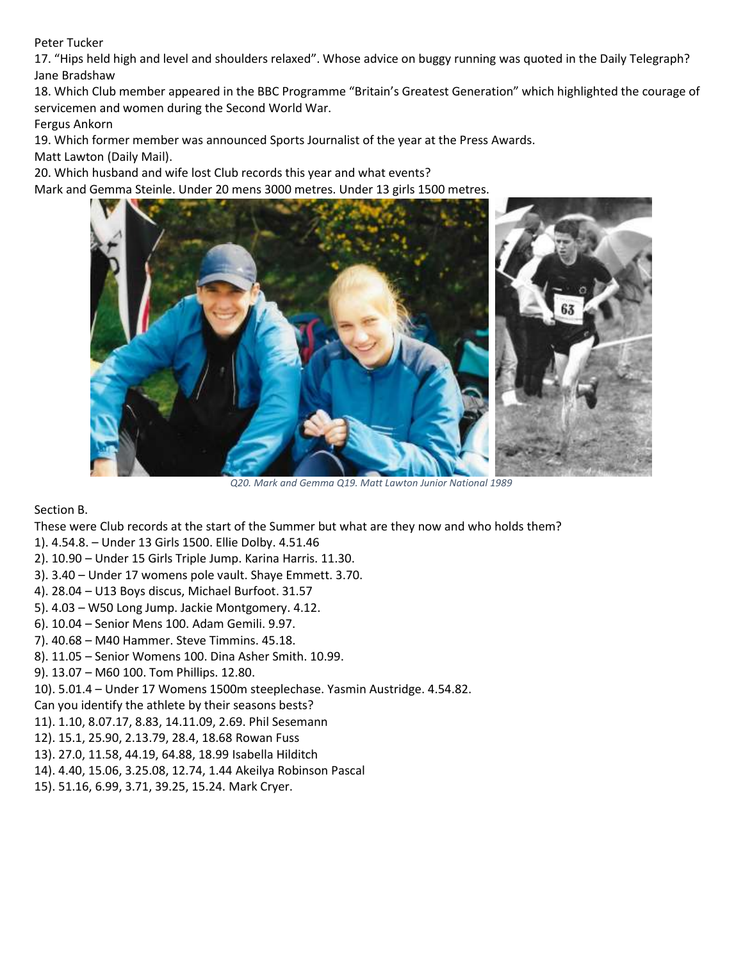Peter Tucker

17. "Hips held high and level and shoulders relaxed". Whose advice on buggy running was quoted in the Daily Telegraph? Jane Bradshaw

18. Which Club member appeared in the BBC Programme "Britain's Greatest Generation" which highlighted the courage of servicemen and women during the Second World War.

Fergus Ankorn

19. Which former member was announced Sports Journalist of the year at the Press Awards.

Matt Lawton (Daily Mail).

20. Which husband and wife lost Club records this year and what events?

Mark and Gemma Steinle. Under 20 mens 3000 metres. Under 13 girls 1500 metres.



*Q20. Mark and Gemma Q19. Matt Lawton Junior National 1989*

Section B.

These were Club records at the start of the Summer but what are they now and who holds them?

- 1). 4.54.8. Under 13 Girls 1500. Ellie Dolby. 4.51.46
- 2). 10.90 Under 15 Girls Triple Jump. Karina Harris. 11.30.
- 3). 3.40 Under 17 womens pole vault. Shaye Emmett. 3.70.
- 4). 28.04 U13 Boys discus, Michael Burfoot. 31.57
- 5). 4.03 W50 Long Jump. Jackie Montgomery. 4.12.
- 6). 10.04 Senior Mens 100. Adam Gemili. 9.97.
- 7). 40.68 M40 Hammer. Steve Timmins. 45.18.
- 8). 11.05 Senior Womens 100. Dina Asher Smith. 10.99.
- 9). 13.07 M60 100. Tom Phillips. 12.80.

10). 5.01.4 – Under 17 Womens 1500m steeplechase. Yasmin Austridge. 4.54.82.

Can you identify the athlete by their seasons bests?

- 11). 1.10, 8.07.17, 8.83, 14.11.09, 2.69. Phil Sesemann
- 12). 15.1, 25.90, 2.13.79, 28.4, 18.68 Rowan Fuss
- 13). 27.0, 11.58, 44.19, 64.88, 18.99 Isabella Hilditch
- 14). 4.40, 15.06, 3.25.08, 12.74, 1.44 Akeilya Robinson Pascal
- 15). 51.16, 6.99, 3.71, 39.25, 15.24. Mark Cryer.